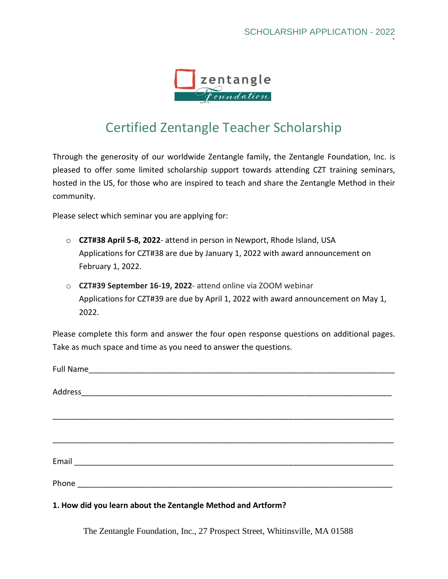`



## Certified Zentangle Teacher Scholarship

Through the generosity of our worldwide Zentangle family, the Zentangle Foundation, Inc. is pleased to offer some limited scholarship support towards attending CZT training seminars, hosted in the US, for those who are inspired to teach and share the Zentangle Method in their community.

Please select which seminar you are applying for:

- o **CZT#38 April 5-8, 2022** attend in person in Newport, Rhode Island, USA Applications for CZT#38 are due by January 1, 2022 with award announcement on February 1, 2022.
- o **CZT#39 September 16-19, 2022** attend online via ZOOM webinar Applications for CZT#39 are due by April 1, 2022 with award announcement on May 1, 2022.

Please complete this form and answer the four open response questions on additional pages. Take as much space and time as you need to answer the questions.

## **1. How did you learn about the Zentangle Method and Artform?**

The Zentangle Foundation, Inc., 27 Prospect Street, Whitinsville, MA 01588